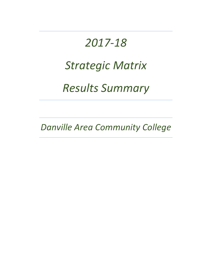# *2017-18 Strategic Matrix Results Summary*

*Danville Area Community College*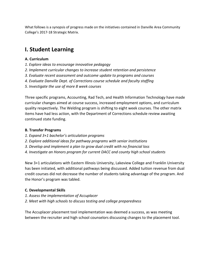What follows is a synopsis of progress made on the initiatives contained in Danville Area Community College's 2017-18 Strategic Matrix.

# **I. Student Learning**

# **A. Curriculum**

- *1. Explore ideas to encourage innovative pedagogy*
- *2. Implement curricular changes to increase student retention and persistence*
- *3. Evaluate recent assessment and outcome update to programs and courses*
- *4. Evaluate Danville Dept. of Corrections course schedule and faculty staffing*
- *5. Investigate the use of more 8 week courses*

Three specific programs, Accounting, Rad Tech, and Health Information Technology have made curricular changes aimed at course success, increased employment options, and curriculum quality respectively. The Welding program is shifting to eight week courses. The other matrix items have had less action, with the Department of Corrections schedule review awaiting continued state funding.

# **B. Transfer Programs**

- *1. Expand 3+1 bachelor's articulation programs*
- *2. Explore additional ideas for pathway programs with senior institutions*
- *3. Develop and implement a plan to grow dual credit with no financial loss*
- *4. Investigate an Honors program for current DACC and county high school students*

New 3+1 articulations with Eastern Illinois University, Lakeview College and Franklin University has been initiated, with additional pathways being discussed. Added tuition revenue from dual credit courses did not decrease the number of students taking advantage of the program. And the Honor's program was tabled.

# **C. Developmental Skills**

- *1. Assess the implementation of Accuplacer*
- *2. Meet with high schools to discuss testing and college preparedness*

The Accuplacer placement tool implementation was deemed a success, as was meeting between the recruiter and high school counselors discussing changes to the placement tool.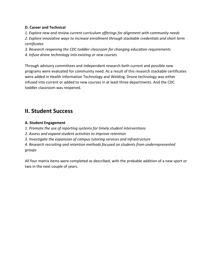# **D. Career and Technical**

*1. Explore new and review current curriculum offerings for alignment with community needs 2. Explore innovative ways to increase enrollment through stackable credentials and short term certificates*

*3. Research reopening the CDC toddler classroom for changing education requirements*

*4. Infuse drone technology into existing or new courses*

Through advisory committees and independent research both current and possible new programs were evaluated for community need. As a result of this research stackable certificates were added in Health Information Technology and Welding. Drone technology was either infused into current or added to new courses in at least three departments. And the CDC toddler classroom was reopened.

# **II. Student Success**

# **A. Student Engagement**

*1. Promote the use of reporting systems for timely student interventions*

*2. Assess and expand student activities to improve retention*

*3. Investigate the expansion of campus tutoring services and infrastructure*

*4. Research recruiting and retention methods focused on students from underrepresented groups*

All four matrix items were completed as described, with the probable addition of a new sport or two in the next couple of years.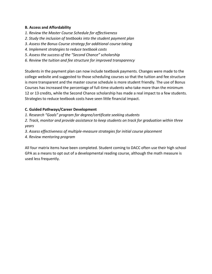#### **B. Access and Affordability**

- *1. Review the Master Course Schedule for effectiveness*
- *2. Study the inclusion of textbooks into the student payment plan*
- *3. Assess the Bonus Course strategy for additional course taking*
- *4. Implement strategies to reduce textbook costs*
- *5. Assess the success of the "Second Chance" scholarship*
- *6. Review the tuition and fee structure for improved transparency*

Students in the payment plan can now include textbook payments. Changes were made to the college website and suggested to those scheduling courses so that the tuition and fee structure is more transparent and the master course schedule is more student friendly. The use of Bonus Courses has increased the percentage of full-time students who take more than the minimum 12 or 13 credits, while the Second Chance scholarship has made a real impact to a few students. Strategies to reduce textbook costs have seen little financial impact.

# **C. Guided Pathways/Career Development**

*1. Research "Goals" program for degree/certificate seeking students*

*2. Track, monitor and provide assistance to keep students on track for graduation within three years*

*3. Assess effectiveness of multiple-measure strategies for initial course placement*

*4. Review mentoring program*

All four matrix items have been completed. Student coming to DACC often use their high school GPA as a means to opt out of a developmental reading course, although the math measure is used less frequently.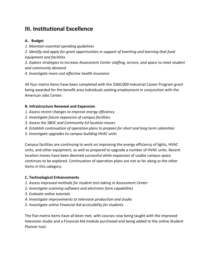# **III. Institutional Excellence**

# **A. Budget**

*1. Maintain essential spending guidelines 2. Identify and apply for grant opportunities in support of teaching and learning that fund equipment and facilities 3. Explore strategies to increase Assessment Center staffing, service, and space to meet student and community demand 4. Investigate more cost effective health insurance*

All four matrix items have been completed with the \$360,000 Industrial Career Program grant being awarded for the benefit area individuals seeking employment in conjunction with the American Jobs Center.

# **B. Infrastructure Renewal and Expansion**

- *1. Assess recent changes to improve energy efficiency*
- *2. Investigate future expansion of campus facilities*
- *3. Assess the SBDC and Community Ed location moves*
- *4. Establish continuation of operation plans to prepare for short and long term calamities*
- *5. Investigate upgrades to campus building HVAC units*

Campus facilities are continuing to work on improving the energy efficiency of lights, HVAC units, and other equipment, as well as prepared to upgrade a number of HVAC units. Recent location moves have been deemed successful while expansion of usable campus space continues to be explored. Continuation of operation plans are not as far along as the other items in this category.

# **C. Technological Enhancements**

- *1. Assess improved methods for student test-taking in Assessment Center*
- *2. Investigate scanning software and electronic form capabilities*
- *3. Evaluate online tutorials*
- *4. Investigate improvements to television production and studio*
- *5. Investigate online Financial Aid accessibility for students*

The five matrix items have all been met, with courses now being taught with the improved television studio and a Financial Aid module purchased and being added to the online Student Planner tool.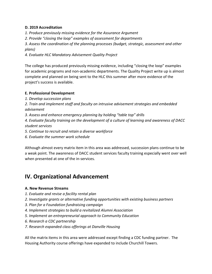# **D. 2019 Accreditation**

*1. Produce previously missing evidence for the Assurance Argument*

*2. Provide "closing the loop" examples of assessment for departments*

*3. Assess the coordination of the planning processes (budget, strategic, assessment and other plans)*

*4. Evaluate HLC Mandatory Advisement Quality Project*

The college has produced previously missing evidence, including "closing the loop" examples for academic programs and non-academic departments. The Quality Project write up is almost complete and planned on being sent to the HLC this summer after more evidence of the project's success is available.

# **E. Professional Development**

- *1. Develop succession plans*
- *2. Train and implement staff and faculty on intrusive advisement strategies and embedded advisement*
- *3. Assess and enhance emergency planning by holding "table top" drills*

*4. Evaluate faculty training on the development of a culture of learning and awareness of DACC student services*

*5. Continue to recruit and retain a diverse workforce*

*6. Evaluate the summer work schedule*

Although almost every matrix item in this area was addressed, succession plans continue to be a weak point. The awareness of DACC student services faculty training especially went over well when presented at one of the in-services.

# **IV. Organizational Advancement**

# **A. New Revenue Streams**

- *1. Evaluate and revise a facility rental plan*
- *2. Investigate grants or alternative funding opportunities with existing business partners*
- *3. Plan for a Foundation fundraising campaign*
- *4. Implement strategies to build a revitalized Alumni Association*
- *5. Implement an entrepreneurial approach to Community Education*
- *6. Research a CDC partnership*
- *7. Research expanded class offerings at Danville Housing*

All the matrix items in this area were addressed except finding a CDC funding partner. The Housing Authority course offerings have expanded to include Churchill Towers.